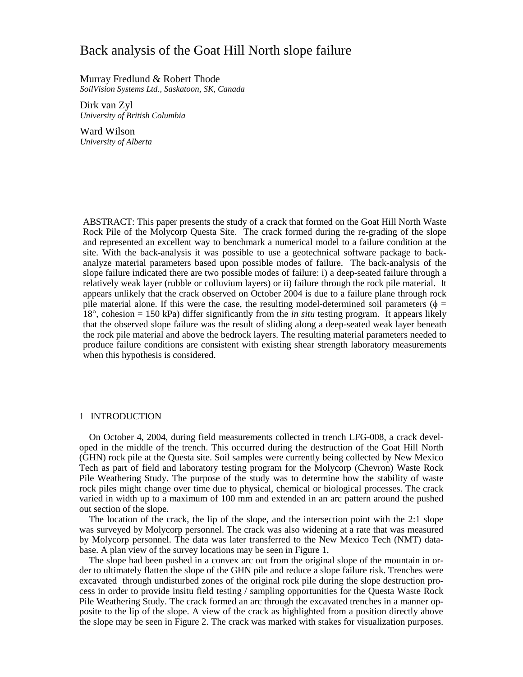# Back analysis of the Goat Hill North slope failure

Murray Fredlund & Robert Thode *SoilVision Systems Ltd., Saskatoon, SK, Canada*

Dirk van Zyl *University of British Columbia*

Ward Wilson *University of Alberta*

ABSTRACT: This paper presents the study of a crack that formed on the Goat Hill North Waste Rock Pile of the Molycorp Questa Site. The crack formed during the re-grading of the slope and represented an excellent way to benchmark a numerical model to a failure condition at the site. With the back-analysis it was possible to use a geotechnical software package to backanalyze material parameters based upon possible modes of failure. The back-analysis of the slope failure indicated there are two possible modes of failure: i) a deep-seated failure through a relatively weak layer (rubble or colluvium layers) or ii) failure through the rock pile material. It appears unlikely that the crack observed on October 2004 is due to a failure plane through rock pile material alone. If this were the case, the resulting model-determined soil parameters ( $\phi$  = 18°, cohesion = 150 kPa) differ significantly from the *in situ* testing program. It appears likely that the observed slope failure was the result of sliding along a deep-seated weak layer beneath the rock pile material and above the bedrock layers. The resulting material parameters needed to produce failure conditions are consistent with existing shear strength laboratory measurements when this hypothesis is considered.

#### 1 INTRODUCTION

On October 4, 2004, during field measurements collected in trench LFG-008, a crack developed in the middle of the trench. This occurred during the destruction of the Goat Hill North (GHN) rock pile at the Questa site. Soil samples were currently being collected by New Mexico Tech as part of field and laboratory testing program for the Molycorp (Chevron) Waste Rock Pile Weathering Study. The purpose of the study was to determine how the stability of waste rock piles might change over time due to physical, chemical or biological processes. The crack varied in width up to a maximum of 100 mm and extended in an arc pattern around the pushed out section of the slope.

The location of the crack, the lip of the slope, and the intersection point with the 2:1 slope was surveyed by Molycorp personnel. The crack was also widening at a rate that was measured by Molycorp personnel. The data was later transferred to the New Mexico Tech (NMT) database. A plan view of the survey locations may be seen in Figure 1.

The slope had been pushed in a convex arc out from the original slope of the mountain in order to ultimately flatten the slope of the GHN pile and reduce a slope failure risk. Trenches were excavated through undisturbed zones of the original rock pile during the slope destruction process in order to provide insitu field testing / sampling opportunities for the Questa Waste Rock Pile Weathering Study. The crack formed an arc through the excavated trenches in a manner opposite to the lip of the slope. A view of the crack as highlighted from a position directly above the slope may be seen in [Figure 2.](#page-2-0) The crack was marked with stakes for visualization purposes.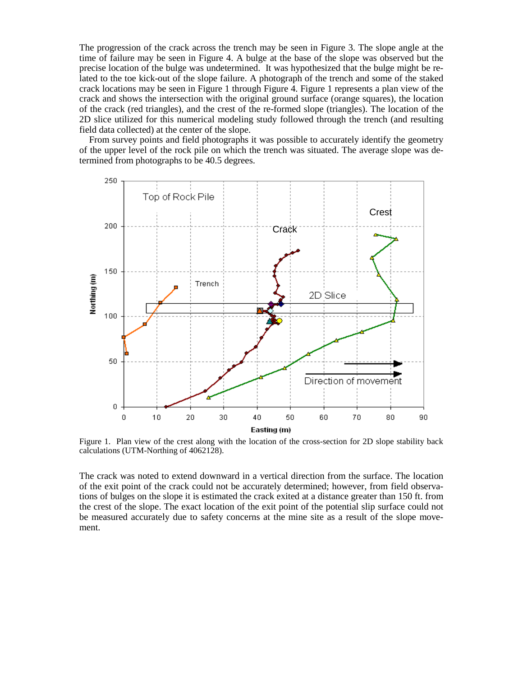The progression of the crack across the trench may be seen in [Figure 3.](#page-2-1) The slope angle at the time of failure may be seen in [Figure 4.](#page-3-0) A bulge at the base of the slope was observed but the precise location of the bulge was undetermined. It was hypothesized that the bulge might be related to the toe kick-out of the slope failure. A photograph of the trench and some of the staked crack locations may be seen in Figure 1 through Figure 4. [Figure 1](#page-1-0) represents a plan view of the crack and shows the intersection with the original ground surface (orange squares), the location of the crack (red triangles), and the crest of the re-formed slope (triangles). The location of the 2D slice utilized for this numerical modeling study followed through the trench (and resulting field data collected) at the center of the slope.

From survey points and field photographs it was possible to accurately identify the geometry of the upper level of the rock pile on which the trench was situated. The average slope was determined from photographs to be 40.5 degrees.



<span id="page-1-0"></span>Figure 1. Plan view of the crest along with the location of the cross-section for 2D slope stability back calculations (UTM-Northing of 4062128).

The crack was noted to extend downward in a vertical direction from the surface. The location of the exit point of the crack could not be accurately determined; however, from field observations of bulges on the slope it is estimated the crack exited at a distance greater than 150 ft. from the crest of the slope. The exact location of the exit point of the potential slip surface could not be measured accurately due to safety concerns at the mine site as a result of the slope movement.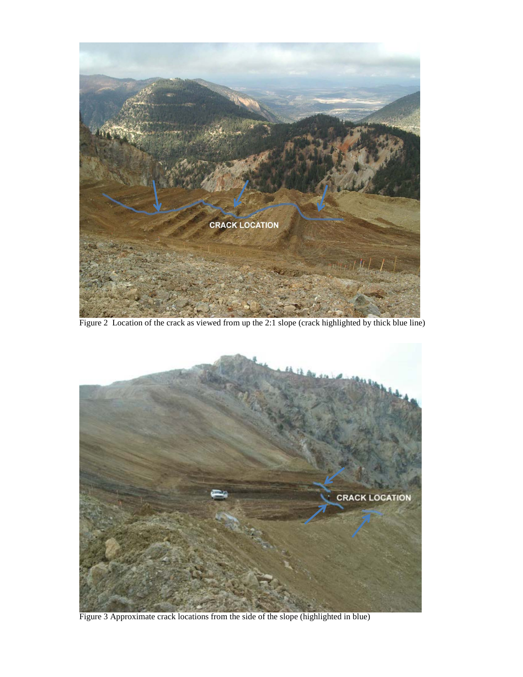

Figure 2 Location of the crack as viewed from up the 2:1 slope (crack highlighted by thick blue line)

<span id="page-2-1"></span><span id="page-2-0"></span>

Figure 3 Approximate crack locations from the side of the slope (highlighted in blue)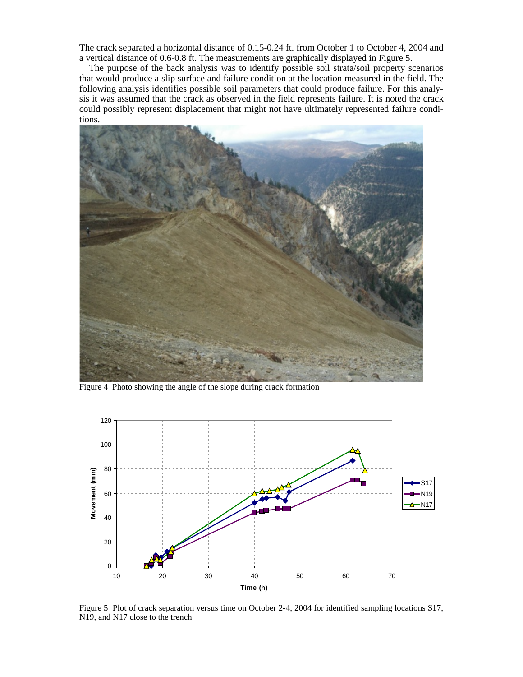The crack separated a horizontal distance of 0.15-0.24 ft. from October 1 to October 4, 2004 and a vertical distance of 0.6-0.8 ft. The measurements are graphically displayed in Figure 5.

The purpose of the back analysis was to identify possible soil strata/soil property scenarios that would produce a slip surface and failure condition at the location measured in the field. The following analysis identifies possible soil parameters that could produce failure. For this analysis it was assumed that the crack as observed in the field represents failure. It is noted the crack could possibly represent displacement that might not have ultimately represented failure conditions.



Figure 4 Photo showing the angle of the slope during crack formation

<span id="page-3-0"></span>

Figure 5 Plot of crack separation versus time on October 2-4, 2004 for identified sampling locations S17, N19, and N17 close to the trench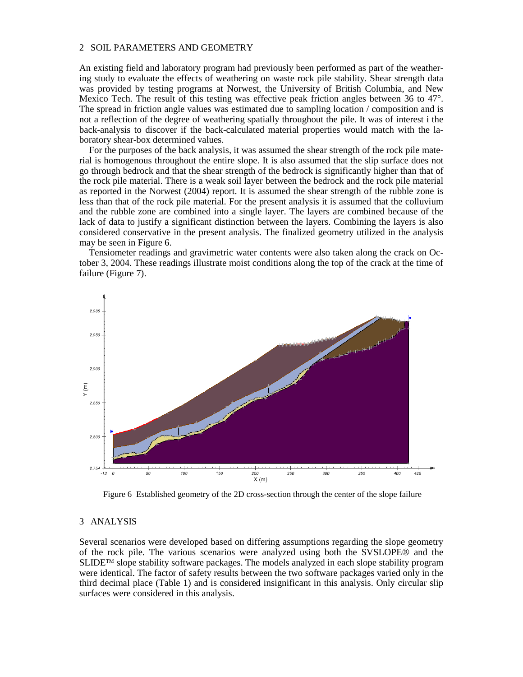#### 2 SOIL PARAMETERS AND GEOMETRY

An existing field and laboratory program had previously been performed as part of the weathering study to evaluate the effects of weathering on waste rock pile stability. Shear strength data was provided by testing programs at Norwest, the University of British Columbia, and New Mexico Tech. The result of this testing was effective peak friction angles between 36 to 47°. The spread in friction angle values was estimated due to sampling location / composition and is not a reflection of the degree of weathering spatially throughout the pile. It was of interest i the back-analysis to discover if the back-calculated material properties would match with the laboratory shear-box determined values.

For the purposes of the back analysis, it was assumed the shear strength of the rock pile material is homogenous throughout the entire slope. It is also assumed that the slip surface does not go through bedrock and that the shear strength of the bedrock is significantly higher than that of the rock pile material. There is a weak soil layer between the bedrock and the rock pile material as reported in the Norwest (2004) report. It is assumed the shear strength of the rubble zone is less than that of the rock pile material. For the present analysis it is assumed that the colluvium and the rubble zone are combined into a single layer. The layers are combined because of the lack of data to justify a significant distinction between the layers. Combining the layers is also considered conservative in the present analysis. The finalized geometry utilized in the analysis may be seen in Figure 6.

Tensiometer readings and gravimetric water contents were also taken along the crack on October 3, 2004. These readings illustrate moist conditions along the top of the crack at the time of failure (Figure 7).



Figure 6 Established geometry of the 2D cross-section through the center of the slope failure

# 3 ANALYSIS

Several scenarios were developed based on differing assumptions regarding the slope geometry of the rock pile. The various scenarios were analyzed using both the SVSLOPE and the  $SLIDE^{TM}$  slope stability software packages. The models analyzed in each slope stability program were identical. The factor of safety results between the two software packages varied only in the third decimal place (Table 1) and is considered insignificant in this analysis. Only circular slip surfaces were considered in this analysis.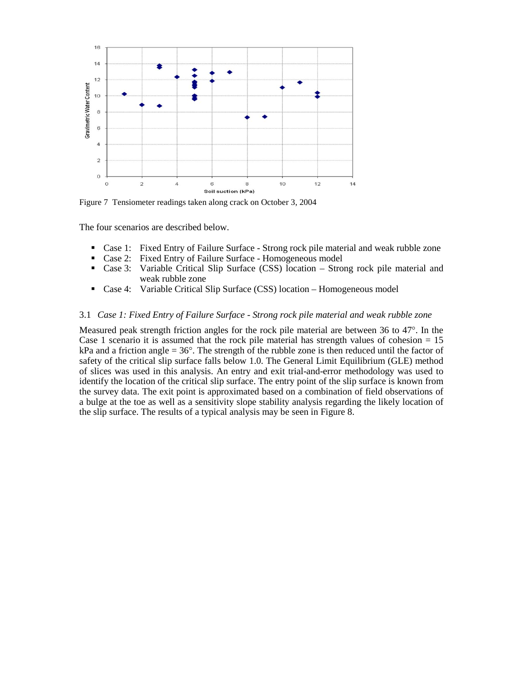

Figure 7 Tensiometer readings taken along crack on October 3, 2004

The four scenarios are described below.

- Case 1: Fixed Entry of Failure Surface Strong rock pile material and weak rubble zone
- Case 2: Fixed Entry of Failure Surface Homogeneous model
- Case 3: Variable Critical Slip Surface (CSS) location Strong rock pile material and weak rubble zone
- Case 4: Variable Critical Slip Surface (CSS) location Homogeneous model

# 3.1 *Case 1: Fixed Entry of Failure Surface - Strong rock pile material and weak rubble zone*

Measured peak strength friction angles for the rock pile material are between 36 to 47°. In the Case 1 scenario it is assumed that the rock pile material has strength values of cohesion  $= 15$ kPa and a friction angle  $= 36^{\circ}$ . The strength of the rubble zone is then reduced until the factor of safety of the critical slip surface falls below 1.0. The General Limit Equilibrium (GLE) method of slices was used in this analysis. An entry and exit trial-and-error methodology was used to identify the location of the critical slip surface. The entry point of the slip surface is known from the survey data. The exit point is approximated based on a combination of field observations of a bulge at the toe as well as a sensitivity slope stability analysis regarding the likely location of the slip surface. The results of a typical analysis may be seen in [Figure 8.](#page-6-0)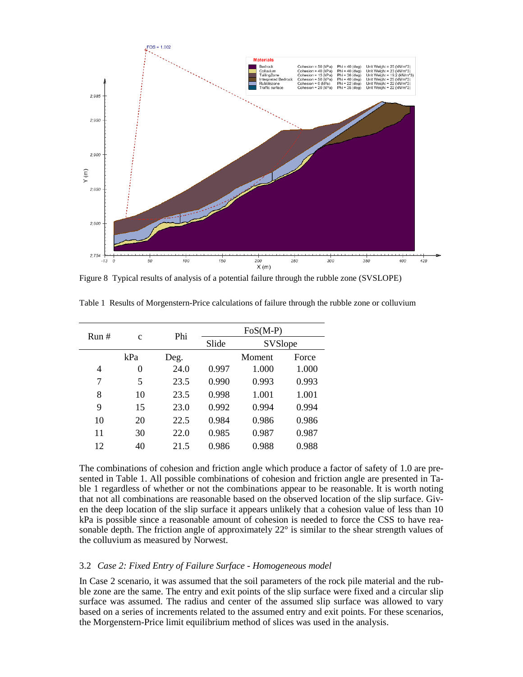

<span id="page-6-0"></span>Figure 8 Typical results of analysis of a potential failure through the rubble zone (SVSLOPE)

| Run# | $\mathbf{C}$ | Phi  | $FoS(M-P)$ |         |       |
|------|--------------|------|------------|---------|-------|
|      |              |      | Slide      | SVSlope |       |
|      | kPa          | Deg. |            | Moment  | Force |
| 4    | 0            | 24.0 | 0.997      | 1.000   | 1.000 |
| 7    | 5            | 23.5 | 0.990      | 0.993   | 0.993 |
| 8    | 10           | 23.5 | 0.998      | 1.001   | 1.001 |
| 9    | 15           | 23.0 | 0.992      | 0.994   | 0.994 |
| 10   | 20           | 22.5 | 0.984      | 0.986   | 0.986 |
| 11   | 30           | 22.0 | 0.985      | 0.987   | 0.987 |
| 12   | 40           | 21.5 | 0.986      | 0.988   | 0.988 |
|      |              |      |            |         |       |

Table 1 Results of Morgenstern-Price calculations of failure through the rubble zone or colluvium

The combinations of cohesion and friction angle which produce a factor of safety of 1.0 are presented in Table 1. All possible combinations of cohesion and friction angle are presented in Table 1 regardless of whether or not the combinations appear to be reasonable. It is worth noting that not all combinations are reasonable based on the observed location of the slip surface. Given the deep location of the slip surface it appears unlikely that a cohesion value of less than 10 kPa is possible since a reasonable amount of cohesion is needed to force the CSS to have reasonable depth. The friction angle of approximately 22° is similar to the shear strength values of the colluvium as measured by Norwest.

#### 3.2 *Case 2: Fixed Entry of Failure Surface - Homogeneous model*

In Case 2 scenario, it was assumed that the soil parameters of the rock pile material and the rubble zone are the same. The entry and exit points of the slip surface were fixed and a circular slip surface was assumed. The radius and center of the assumed slip surface was allowed to vary based on a series of increments related to the assumed entry and exit points. For these scenarios, the Morgenstern-Price limit equilibrium method of slices was used in the analysis.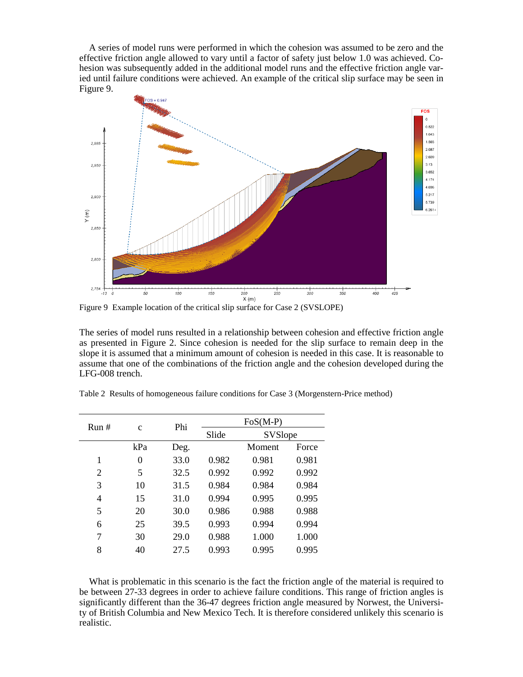A series of model runs were performed in which the cohesion was assumed to be zero and the effective friction angle allowed to vary until a factor of safety just below 1.0 was achieved. Cohesion was subsequently added in the additional model runs and the effective friction angle varied until failure conditions were achieved. An example of the critical slip surface may be seen in [Figure 9.](#page-7-0)



<span id="page-7-0"></span>Figure 9 Example location of the critical slip surface for Case 2 (SVSLOPE)

The series of model runs resulted in a relationship between cohesion and effective friction angle as presented in Figure 2. Since cohesion is needed for the slip surface to remain deep in the slope it is assumed that a minimum amount of cohesion is needed in this case. It is reasonable to assume that one of the combinations of the friction angle and the cohesion developed during the LFG-008 trench.

| Run# | $\mathbf{c}$ | Phi  | $FoS(M-P)$ |         |       |
|------|--------------|------|------------|---------|-------|
|      |              |      | Slide      | SVSlope |       |
|      | kPa          | Deg. |            | Moment  | Force |
| 1    | $\theta$     | 33.0 | 0.982      | 0.981   | 0.981 |
| 2    | 5            | 32.5 | 0.992      | 0.992   | 0.992 |
| 3    | 10           | 31.5 | 0.984      | 0.984   | 0.984 |
| 4    | 15           | 31.0 | 0.994      | 0.995   | 0.995 |
| 5    | 20           | 30.0 | 0.986      | 0.988   | 0.988 |
| 6    | 25           | 39.5 | 0.993      | 0.994   | 0.994 |
| 7    | 30           | 29.0 | 0.988      | 1.000   | 1.000 |
| 8    | 40           | 27.5 | 0.993      | 0.995   | 0.995 |

Table 2 Results of homogeneous failure conditions for Case 3 (Morgenstern-Price method)

What is problematic in this scenario is the fact the friction angle of the material is required to be between 27-33 degrees in order to achieve failure conditions. This range of friction angles is significantly different than the 36-47 degrees friction angle measured by Norwest, the University of British Columbia and New Mexico Tech. It is therefore considered unlikely this scenario is realistic.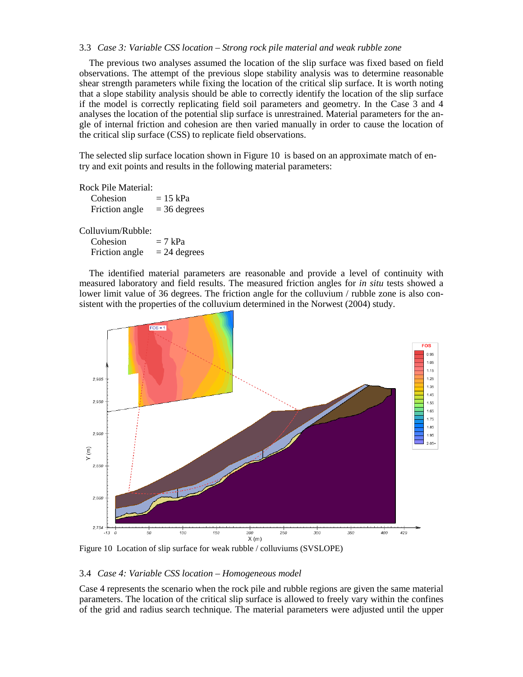#### 3.3 *Case 3: Variable CSS location – Strong rock pile material and weak rubble zone*

The previous two analyses assumed the location of the slip surface was fixed based on field observations. The attempt of the previous slope stability analysis was to determine reasonable shear strength parameters while fixing the location of the critical slip surface. It is worth noting that a slope stability analysis should be able to correctly identify the location of the slip surface if the model is correctly replicating field soil parameters and geometry. In the Case 3 and 4 analyses the location of the potential slip surface is unrestrained. Material parameters for the angle of internal friction and cohesion are then varied manually in order to cause the location of the critical slip surface (CSS) to replicate field observations.

The selected slip surface location shown in [Figure 10](#page-8-0) is based on an approximate match of entry and exit points and results in the following material parameters:

Rock Pile Material:

Cohesion  $= 15 \text{ kPa}$ Friction angle  $= 36$  degrees

Colluvium/Rubble:

Cohesion  $= 7 \text{ kPa}$ Friction angle  $= 24$  degrees

The identified material parameters are reasonable and provide a level of continuity with measured laboratory and field results. The measured friction angles for *in situ* tests showed a lower limit value of 36 degrees. The friction angle for the colluvium / rubble zone is also consistent with the properties of the colluvium determined in the Norwest (2004) study.



<span id="page-8-0"></span>Figure 10 Location of slip surface for weak rubble / colluviums (SVSLOPE)

#### 3.4 *Case 4: Variable CSS location – Homogeneous model*

Case 4 represents the scenario when the rock pile and rubble regions are given the same material parameters. The location of the critical slip surface is allowed to freely vary within the confines of the grid and radius search technique. The material parameters were adjusted until the upper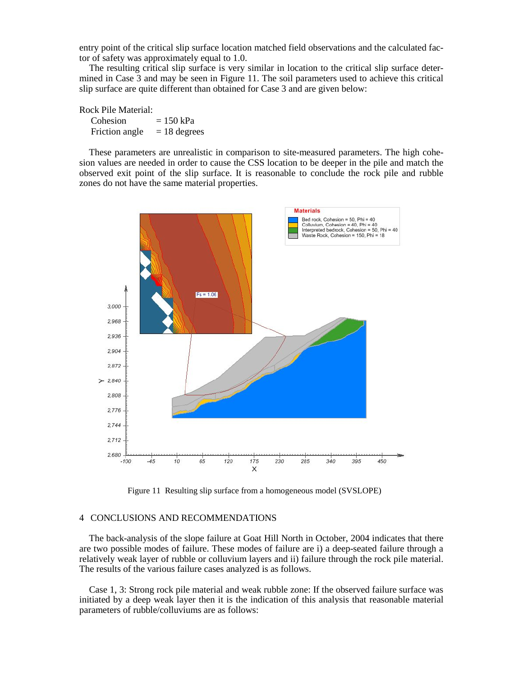entry point of the critical slip surface location matched field observations and the calculated factor of safety was approximately equal to 1.0.

The resulting critical slip surface is very similar in location to the critical slip surface determined in Case 3 and may be seen in Figure 11. The soil parameters used to achieve this critical slip surface are quite different than obtained for Case 3 and are given below:

Rock Pile Material: Cohesion  $= 150 \text{ kPa}$ Friction angle  $= 18$  degrees

These parameters are unrealistic in comparison to site-measured parameters. The high cohesion values are needed in order to cause the CSS location to be deeper in the pile and match the observed exit point of the slip surface. It is reasonable to conclude the rock pile and rubble zones do not have the same material properties.



Figure 11 Resulting slip surface from a homogeneous model (SVSLOPE)

### 4 CONCLUSIONS AND RECOMMENDATIONS

The back-analysis of the slope failure at Goat Hill North in October, 2004 indicates that there are two possible modes of failure. These modes of failure are i) a deep-seated failure through a relatively weak layer of rubble or colluvium layers and ii) failure through the rock pile material. The results of the various failure cases analyzed is as follows.

Case 1, 3: Strong rock pile material and weak rubble zone: If the observed failure surface was initiated by a deep weak layer then it is the indication of this analysis that reasonable material parameters of rubble/colluviums are as follows: